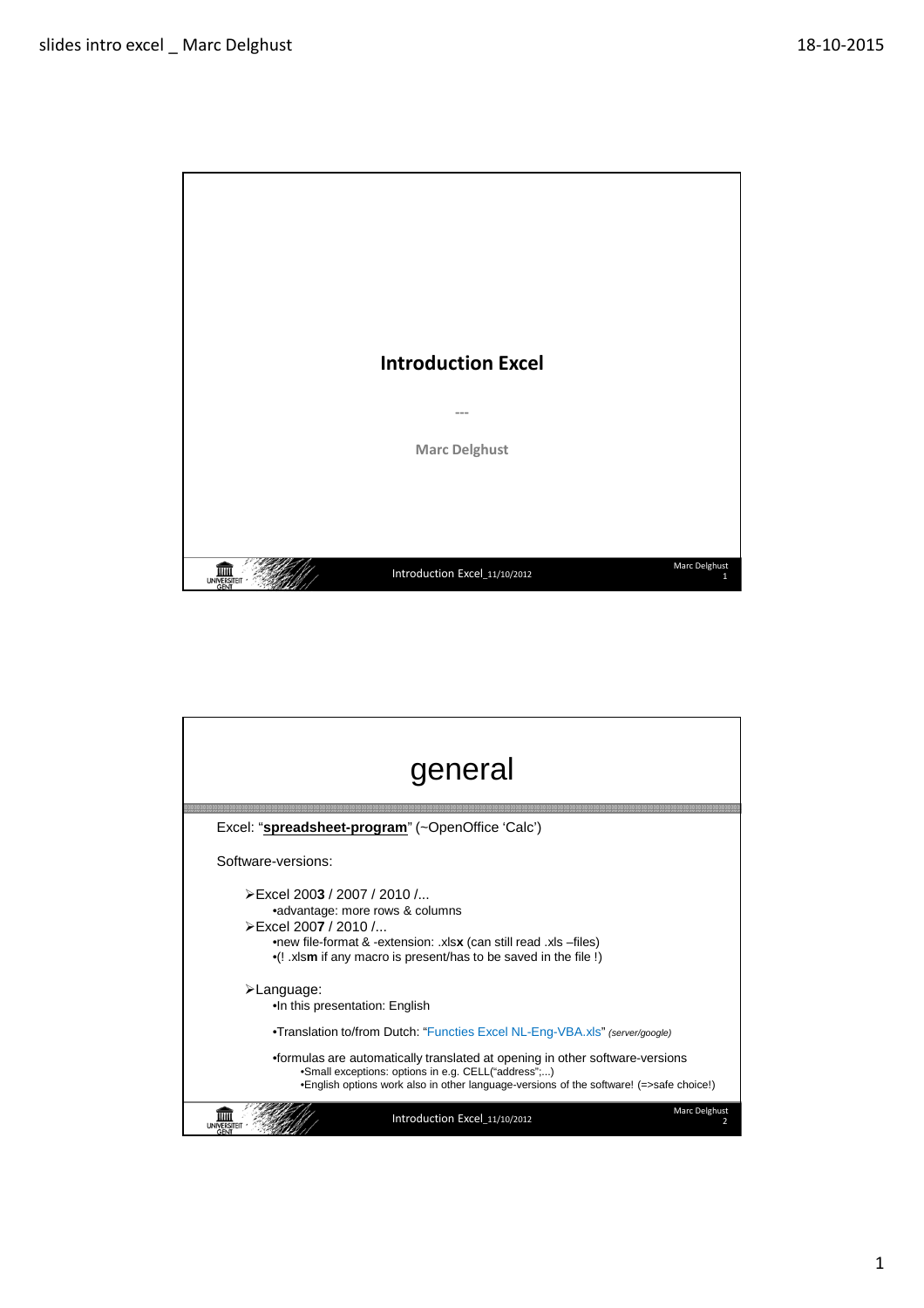

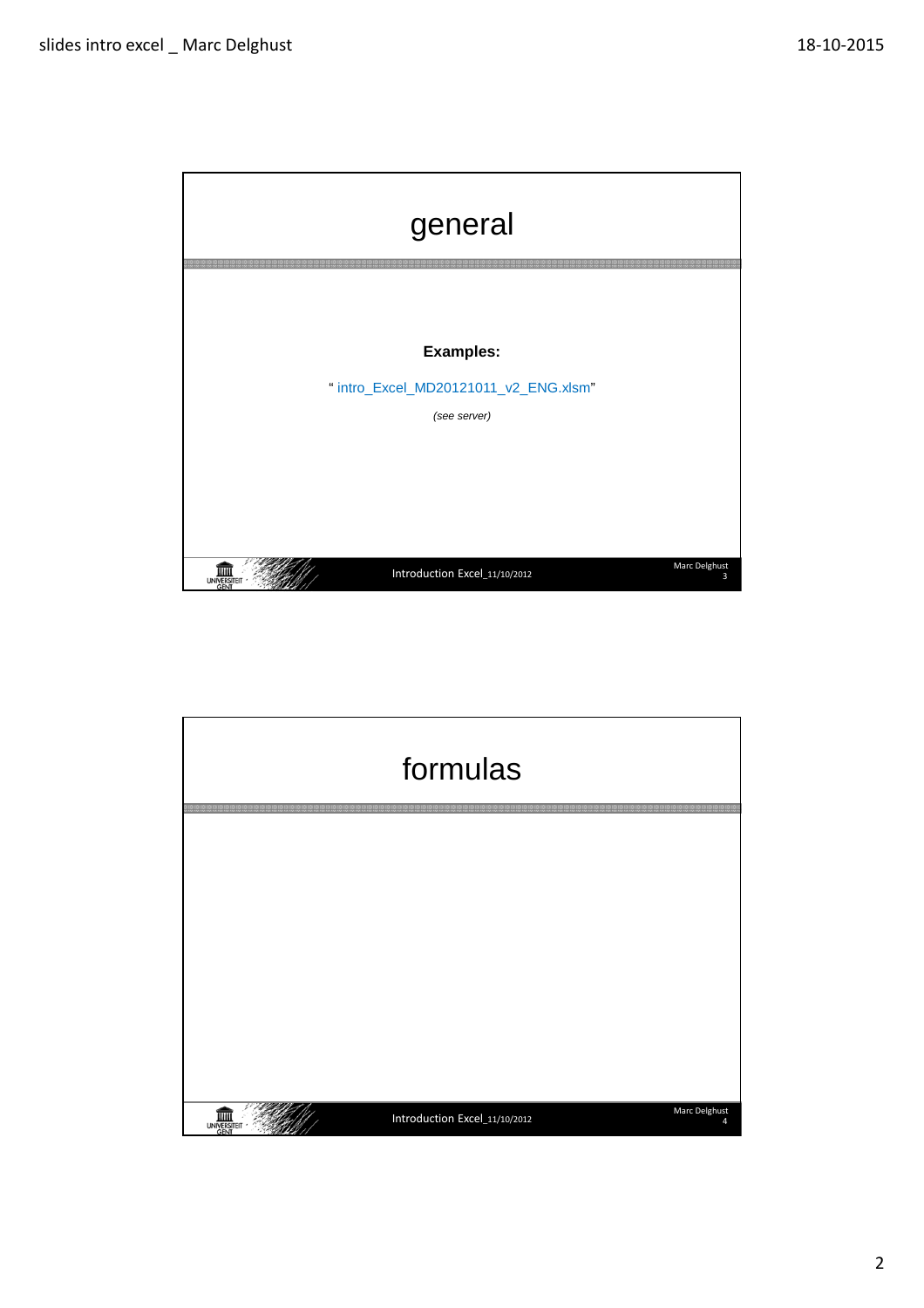

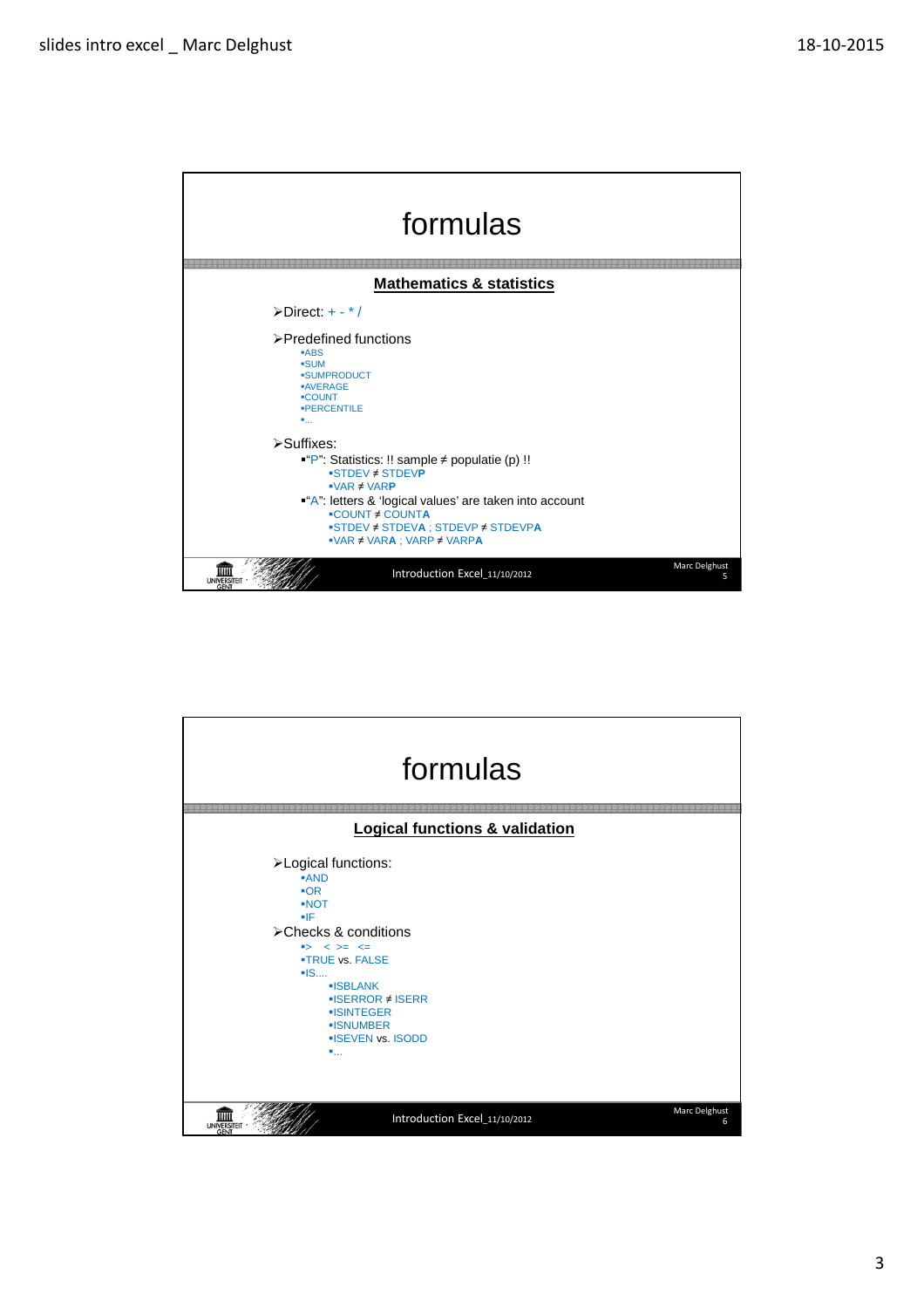

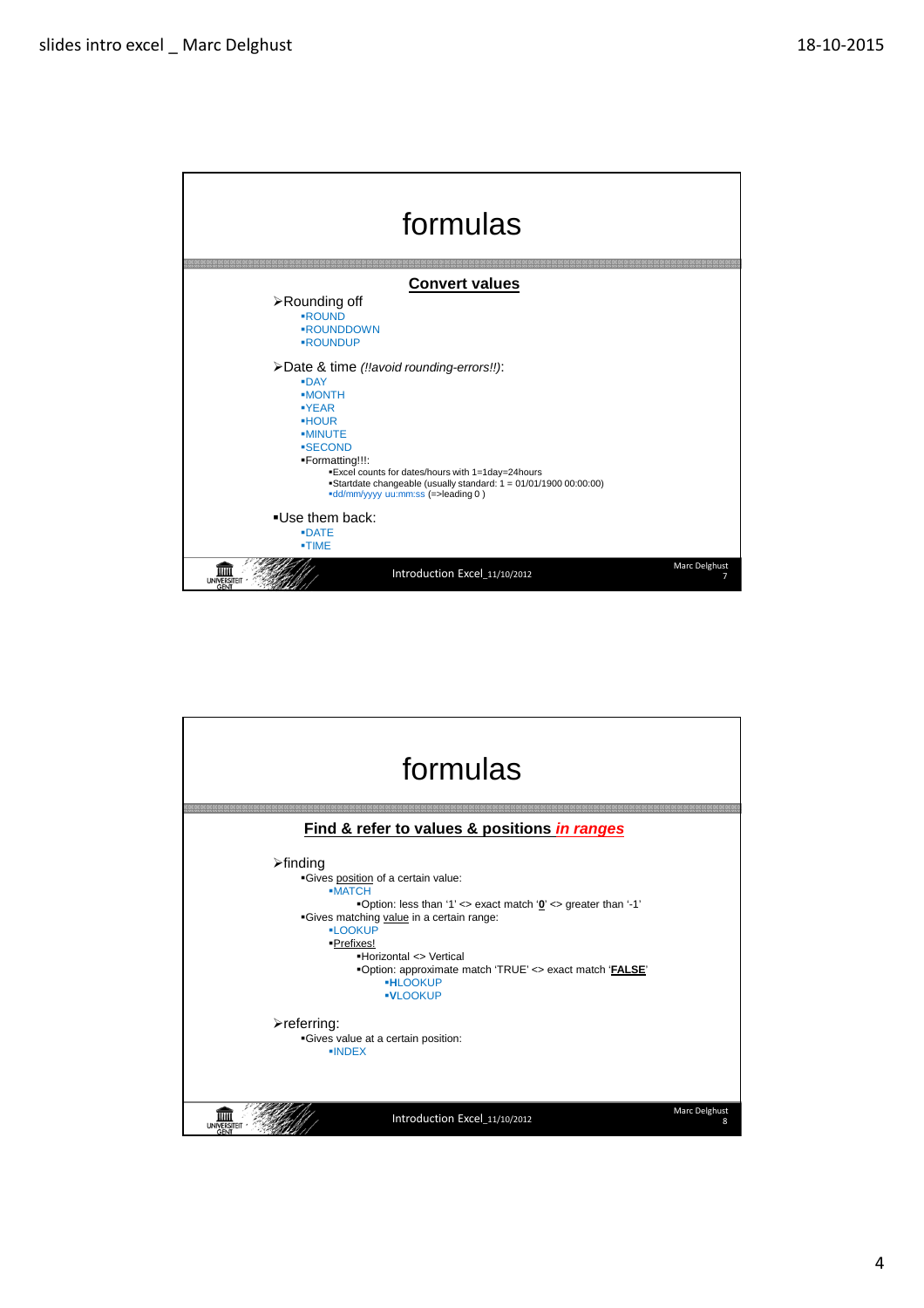

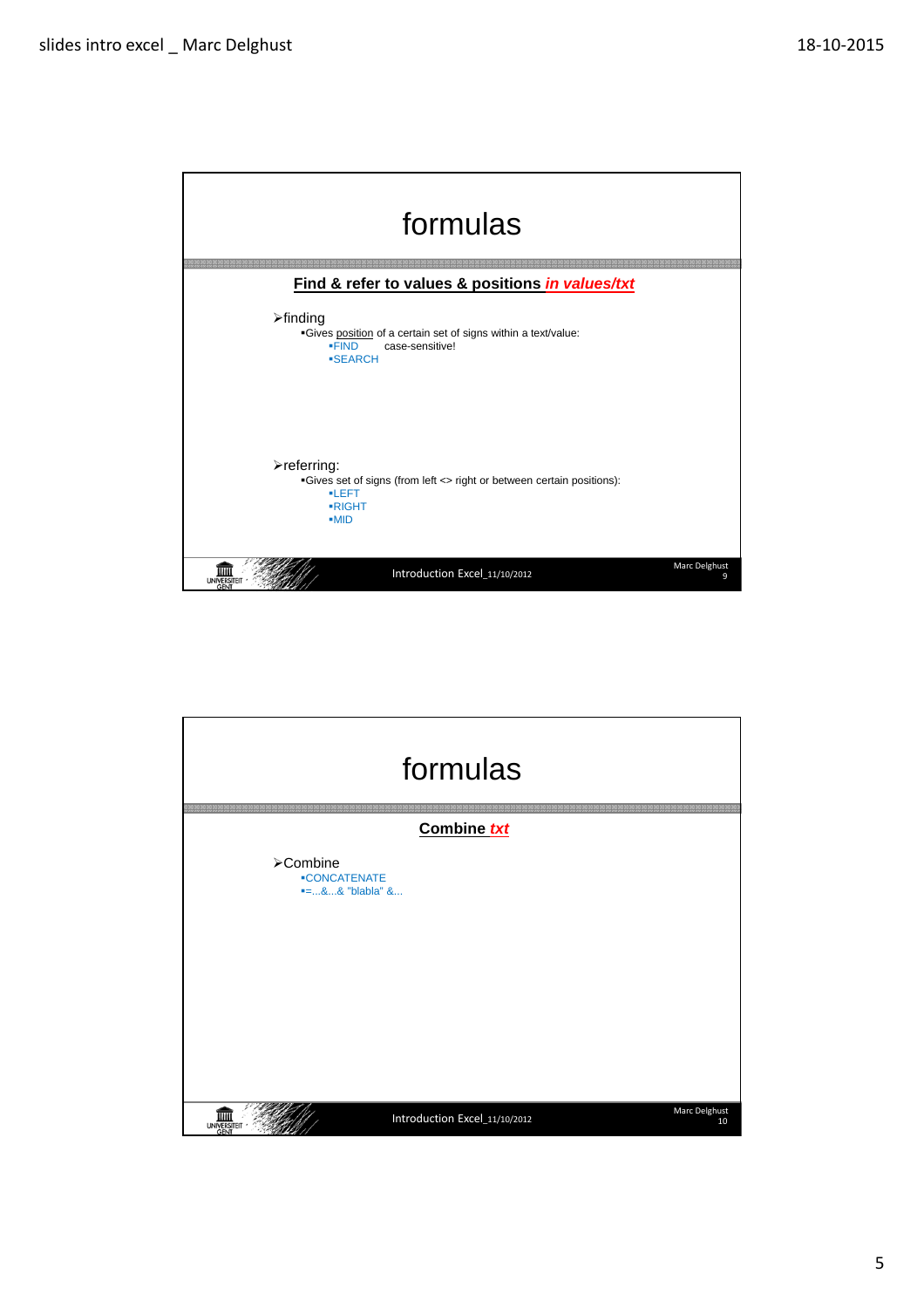

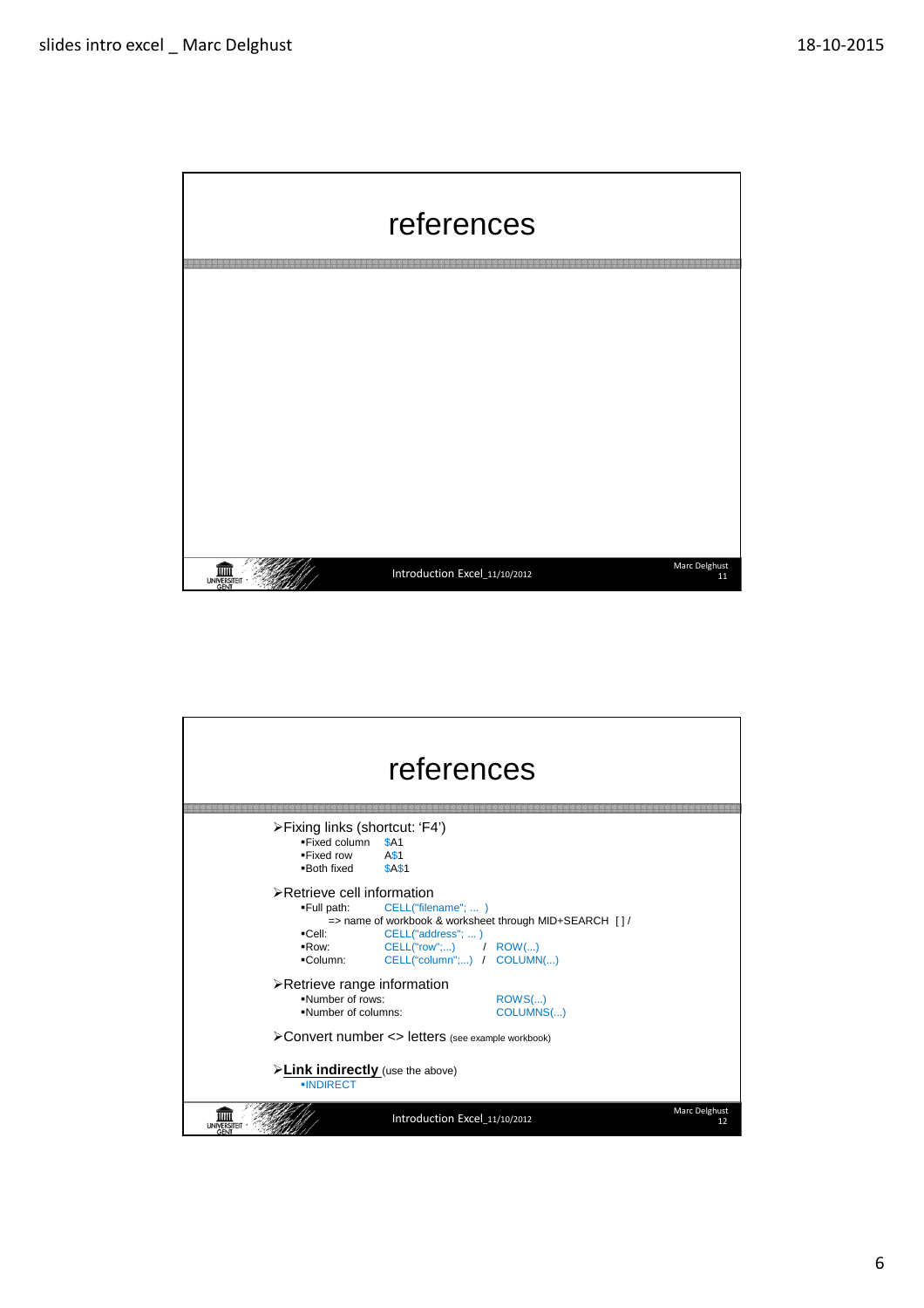

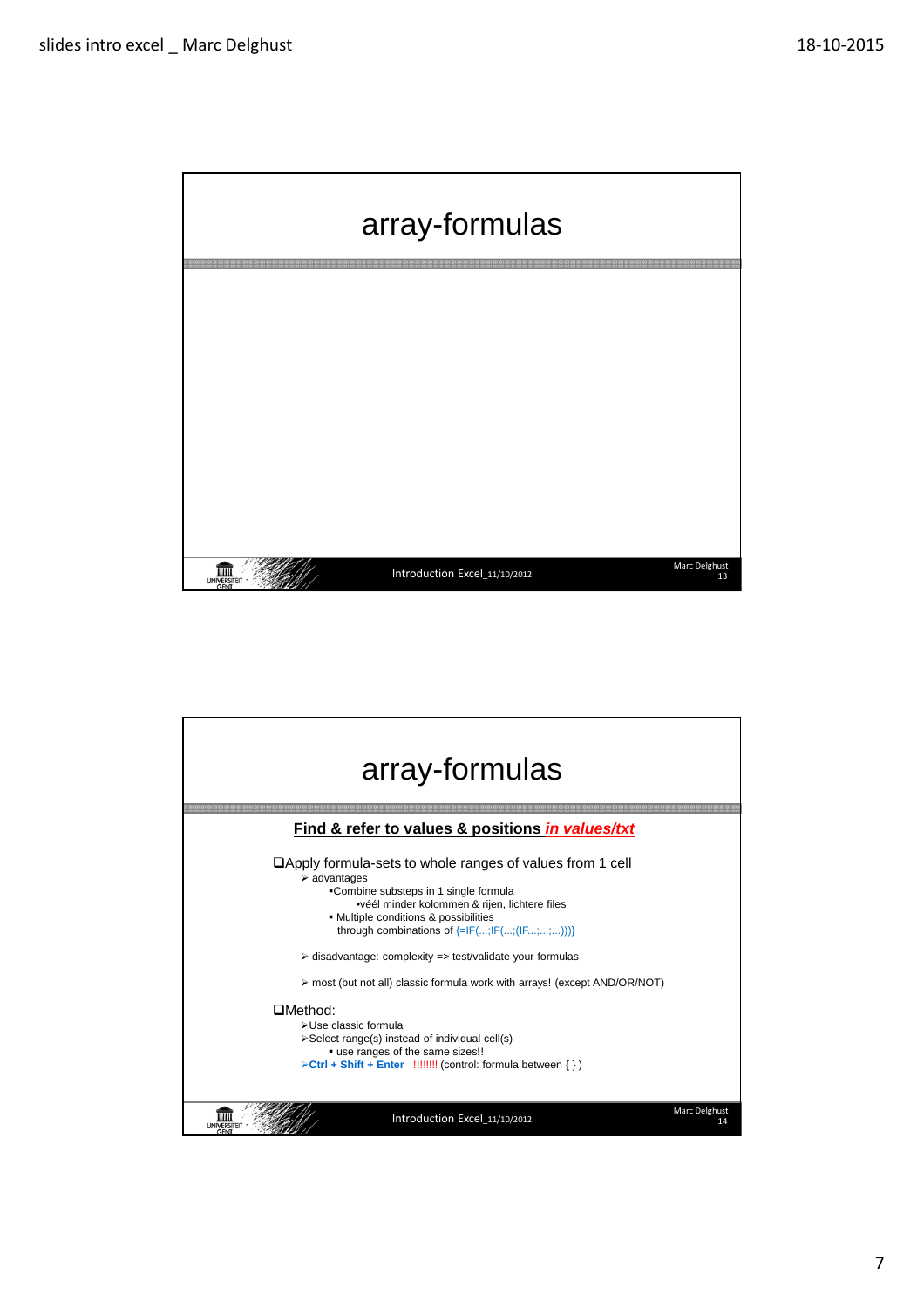

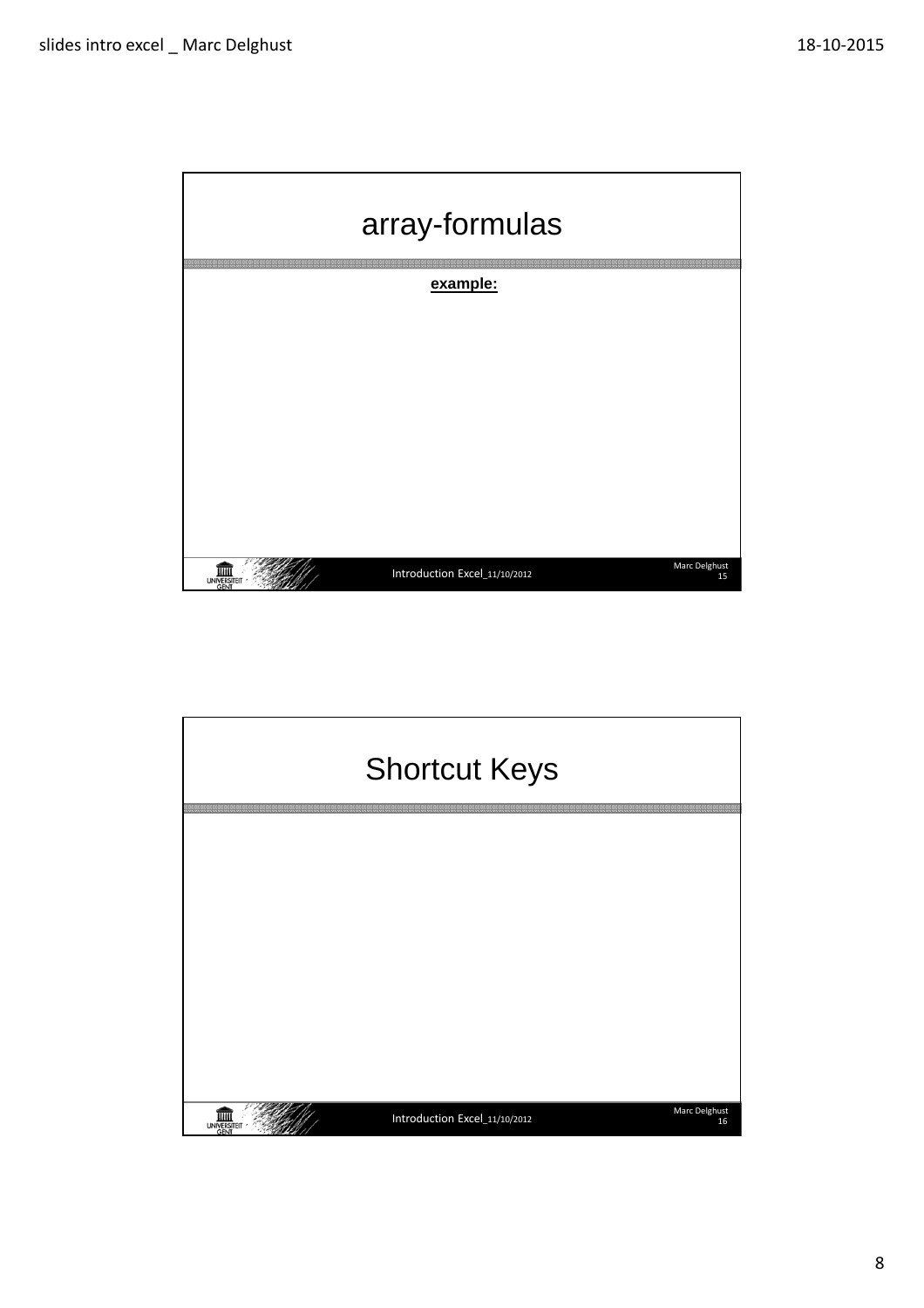

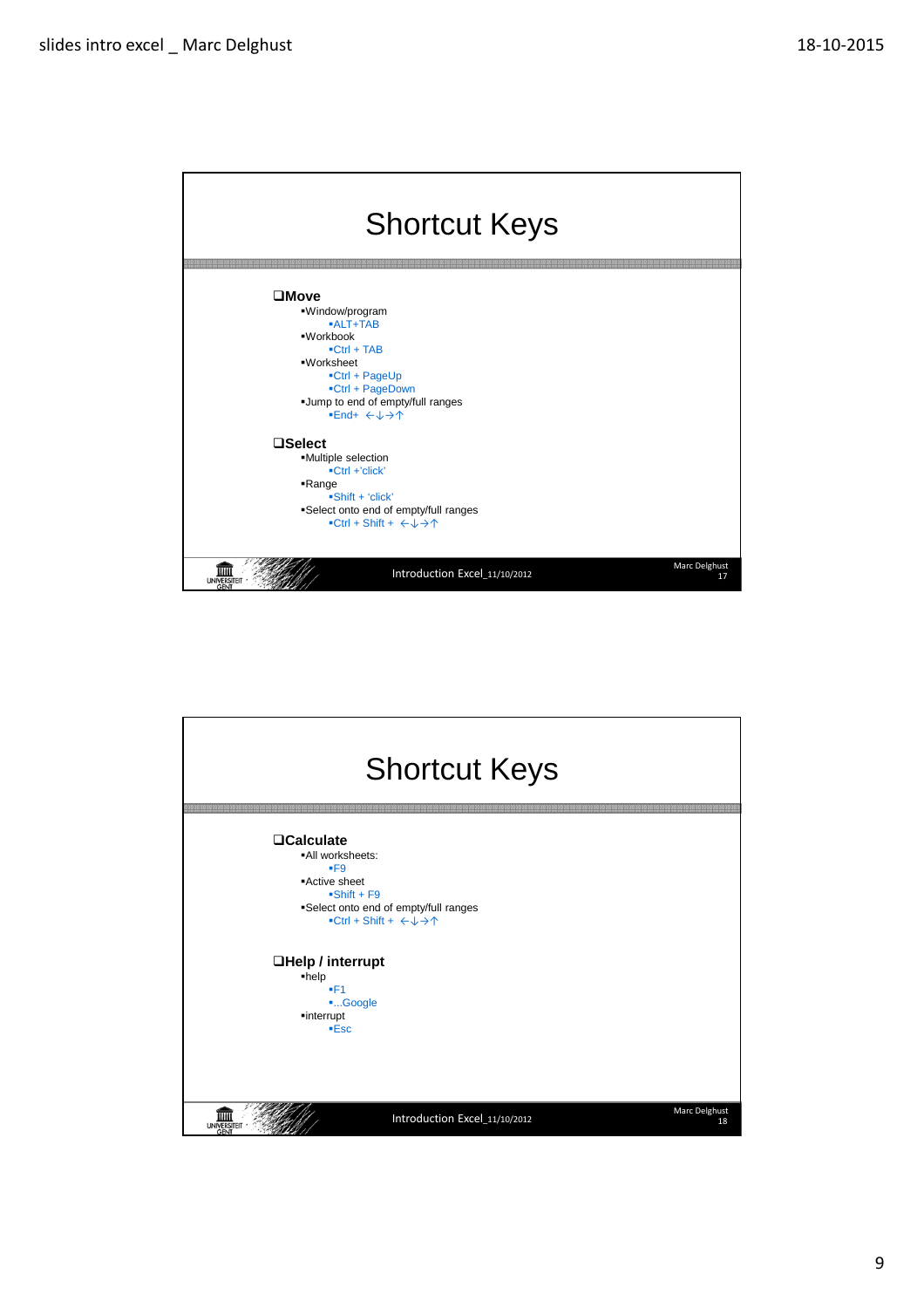

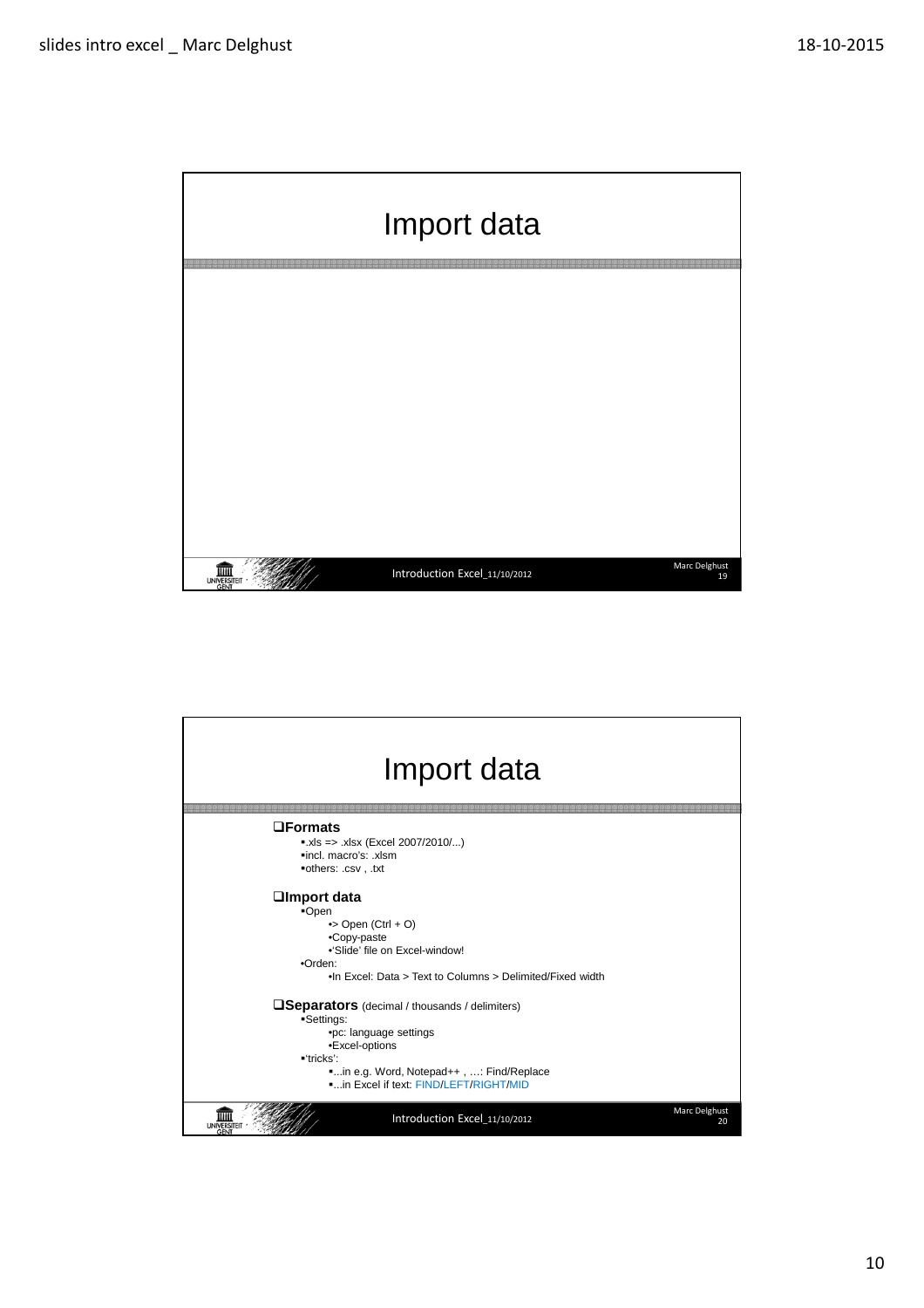

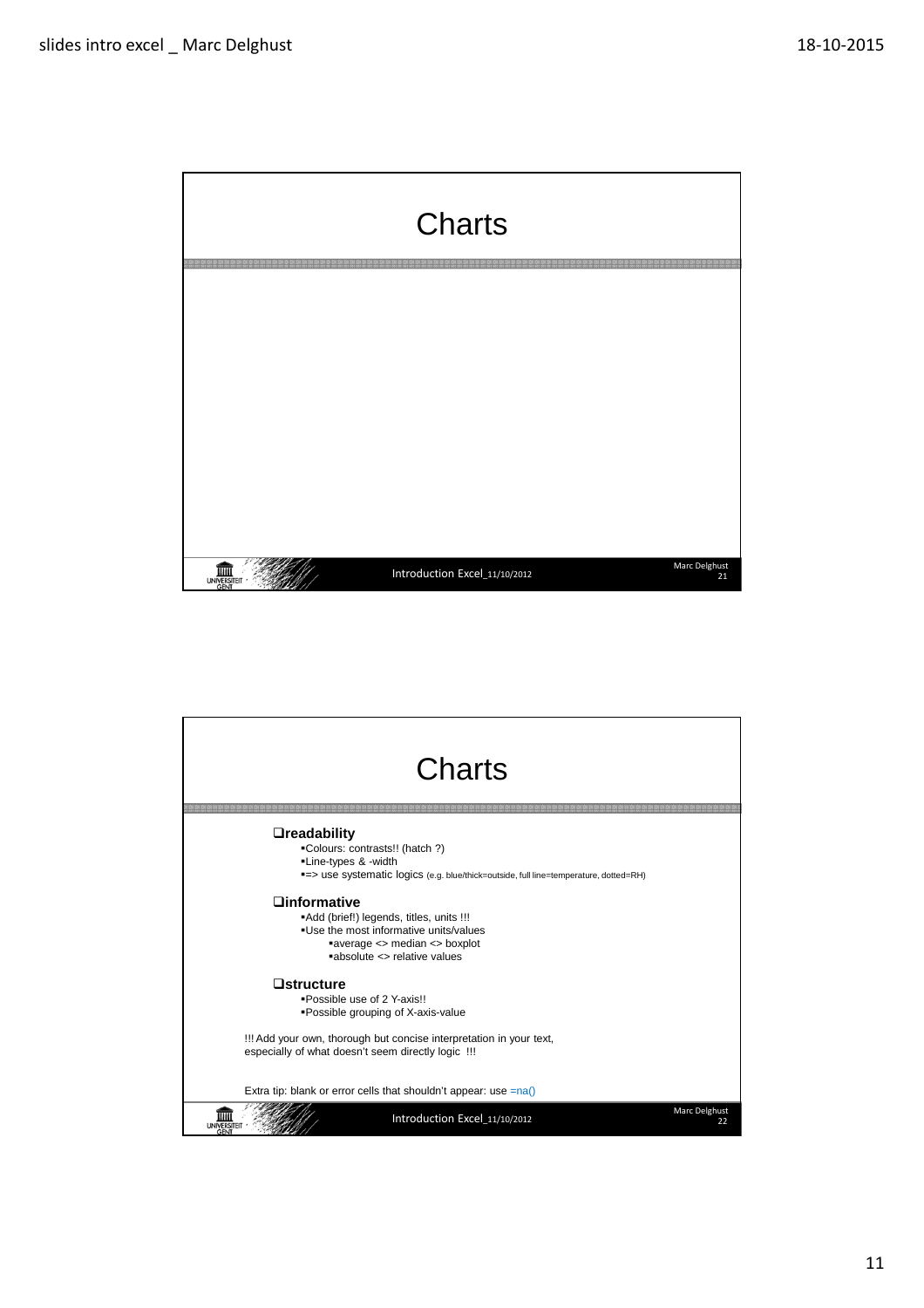

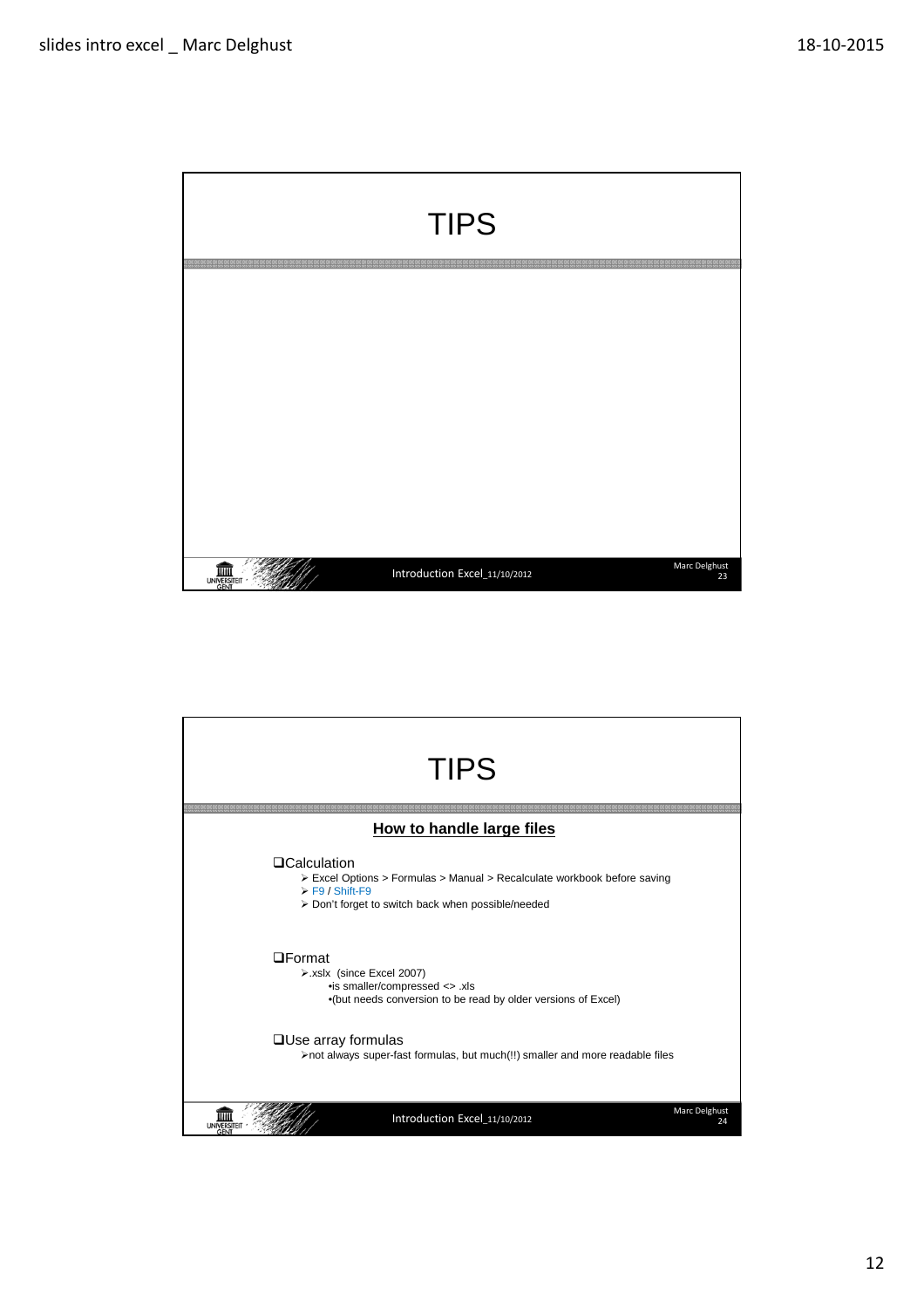

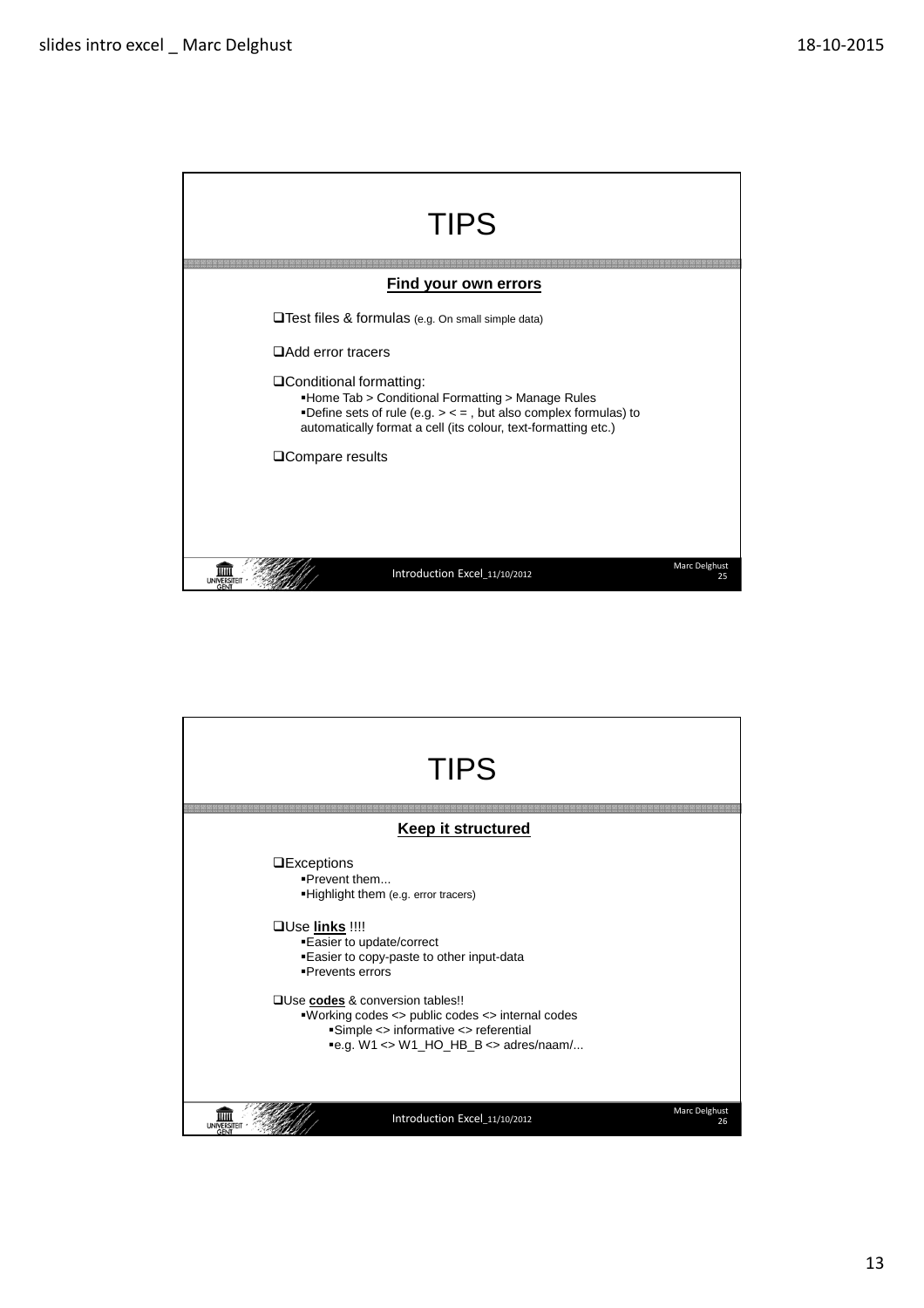